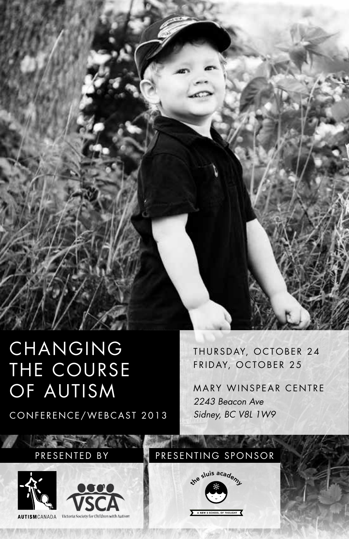## **CHANGING** THE COURSE of autisM

conference/webcast 2013

**Committee Committee Committee** 

#### THURSDAY, OCTOBER 24 friday, october 25

MARY WINSPEAR CENTRE *2243 Beacon Ave Sidney, BC V8L 1W9*

66. 21

# presented by presenting sponsor



AUTISM CANADA Victoria Society for Children with Autism

的复数酒 用



**MARKET**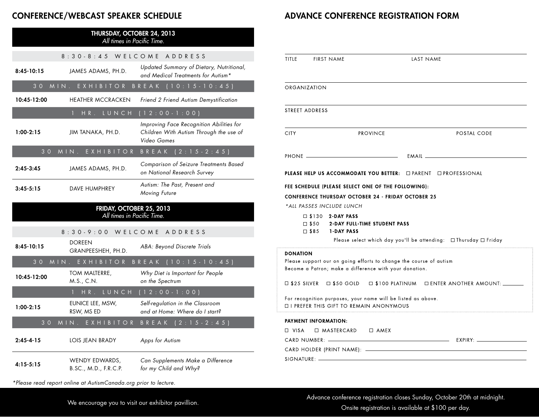| THURSDAY, OCTOBER 24, 2013<br>All times in Pacific Time. |                                         |                                                                                                    |  |
|----------------------------------------------------------|-----------------------------------------|----------------------------------------------------------------------------------------------------|--|
|                                                          | 8:30-8:45 WELCOME                       | ADDRESS                                                                                            |  |
| 8:45-10:15                                               | JAMES ADAMS, PH.D.                      | Updated Summary of Dietary, Nutritional,<br>and Medical Treatments for Autism*                     |  |
| MIN.<br>EXHIBITOR<br>BREAK<br>$(10:15-10:45)$<br>3 0     |                                         |                                                                                                    |  |
| 10:45-12:00                                              | <b>HEATHER MCCRACKEN</b>                | Friend 2 Friend Autism Demystification                                                             |  |
|                                                          | LUNCH<br>1<br>$H$ R .                   | $(12:00-1:00)$                                                                                     |  |
| $1:00-2:15$                                              | JIM TANAKA, PH.D.                       | Improving Face Recognition Abilities for<br>Children With Autism Through the use of<br>Video Games |  |
| 3 0                                                      | $MIN$ .<br>EXHIBITOR                    | <b>BREAK</b><br>$(2:15-2:45)$                                                                      |  |
| $2:45-3:45$                                              | JAMES ADAMS, PH.D.                      | Comparison of Seizure Treatments Based<br>on National Research Survey                              |  |
| $3:45 - 5:15$                                            | DAVE HUMPHREY                           | Autism: The Past, Present and<br>Moving Future                                                     |  |
| FRIDAY, OCTOBER 25, 2013<br>All times in Pacific Time.   |                                         |                                                                                                    |  |
|                                                          | 8:30-9:00 WELCOME ADDRESS               |                                                                                                    |  |
| $8:45-10:15$                                             | <b>DOREEN</b><br>GRANPEESHEH, PH.D.     | ABA: Beyond Discrete Trials                                                                        |  |
| 3 <sub>0</sub>                                           | MIN. EXHIBITOR                          | BREAK (10:15-10:45)                                                                                |  |
| 10:45-12:00                                              | TOM MALTERRE,<br>M.S., C.N.             | Why Diet is Important for People<br>on the Spectrum                                                |  |
|                                                          | HR. LUNCH<br>T.                         | $(12:00-1:00)$                                                                                     |  |
| $1:00-2:15$                                              | EUNICE LEE, MSW,<br>RSW, MS ED          | Self-regulation in the Classroom<br>and at Home: Where do I start?                                 |  |
| 30                                                       | MIN. EXHIBITOR                          | BREAK (2:15-2:45)                                                                                  |  |
| $2:45 - 4 - 15$                                          | LOIS JEAN BRADY                         | Apps for Autism                                                                                    |  |
| $4:15-5:15$                                              | WENDY EDWARDS,<br>B.SC., M.D., F.R.C.P. | Can Supplements Make a Difference<br>for my Child and Why?                                         |  |

*\*Please read report online at AutismCanada.org prior to lecture.*

CONFERENCE/WEBCAST SPEAKER SCHEDULE ADVANCE CONFERENCE REGISTRATION FORM

| ORGANIZATION<br>STREET ADDRESS<br><b>PROVINCE</b><br>POSTAL CODE<br><b>PLEASE HELP US ACCOMMODATE YOU BETTER: OPARENT OPROFESSIONAL</b><br>FEE SCHEDULE (PLEASE SELECT ONE OF THE FOLLOWING):<br><b>CONFERENCE THURSDAY OCTOBER 24 - FRIDAY OCTOBER 25</b><br>*ALL PASSES INCLUDE LUNCH<br>$\Box$ \$130 2-DAY PASS<br>$\square$ \$50<br><b>2-DAY FULL-TIME STUDENT PASS</b><br>$\Box$ \$85 1-DAY PASS<br>Please select which day you'll be attending: $\Box$ Thursday $\Box$ Friday<br><b>DONATION</b><br>Please support our on going efforts to change the course of autism<br>Become a Patron; make a difference with your donation.<br>$\square$ \$25 SILVER<br>$\Box$ \$50 GOLD $\Box$ \$100 PLATINUM $\Box$ ENTER ANOTHER AMOUNT:<br>For recognition purposes, your name will be listed as above.<br><b>DI PREFER THIS GIFT TO REMAIN ANONYMOUS</b><br><b>PAYMENT INFORMATION:</b><br>□ MASTERCARD □ AMEX | <b>TITLE</b> | <b>FIRST NAME</b> | LAST NAME |
|----------------------------------------------------------------------------------------------------------------------------------------------------------------------------------------------------------------------------------------------------------------------------------------------------------------------------------------------------------------------------------------------------------------------------------------------------------------------------------------------------------------------------------------------------------------------------------------------------------------------------------------------------------------------------------------------------------------------------------------------------------------------------------------------------------------------------------------------------------------------------------------------------------------|--------------|-------------------|-----------|
|                                                                                                                                                                                                                                                                                                                                                                                                                                                                                                                                                                                                                                                                                                                                                                                                                                                                                                                |              |                   |           |
|                                                                                                                                                                                                                                                                                                                                                                                                                                                                                                                                                                                                                                                                                                                                                                                                                                                                                                                |              |                   |           |
|                                                                                                                                                                                                                                                                                                                                                                                                                                                                                                                                                                                                                                                                                                                                                                                                                                                                                                                | <b>CITY</b>  |                   |           |
|                                                                                                                                                                                                                                                                                                                                                                                                                                                                                                                                                                                                                                                                                                                                                                                                                                                                                                                |              |                   |           |
|                                                                                                                                                                                                                                                                                                                                                                                                                                                                                                                                                                                                                                                                                                                                                                                                                                                                                                                |              |                   |           |
|                                                                                                                                                                                                                                                                                                                                                                                                                                                                                                                                                                                                                                                                                                                                                                                                                                                                                                                |              |                   |           |
|                                                                                                                                                                                                                                                                                                                                                                                                                                                                                                                                                                                                                                                                                                                                                                                                                                                                                                                |              |                   |           |
|                                                                                                                                                                                                                                                                                                                                                                                                                                                                                                                                                                                                                                                                                                                                                                                                                                                                                                                |              |                   |           |
|                                                                                                                                                                                                                                                                                                                                                                                                                                                                                                                                                                                                                                                                                                                                                                                                                                                                                                                |              |                   |           |
|                                                                                                                                                                                                                                                                                                                                                                                                                                                                                                                                                                                                                                                                                                                                                                                                                                                                                                                |              |                   |           |
|                                                                                                                                                                                                                                                                                                                                                                                                                                                                                                                                                                                                                                                                                                                                                                                                                                                                                                                |              |                   |           |
|                                                                                                                                                                                                                                                                                                                                                                                                                                                                                                                                                                                                                                                                                                                                                                                                                                                                                                                |              |                   |           |
|                                                                                                                                                                                                                                                                                                                                                                                                                                                                                                                                                                                                                                                                                                                                                                                                                                                                                                                |              |                   |           |
|                                                                                                                                                                                                                                                                                                                                                                                                                                                                                                                                                                                                                                                                                                                                                                                                                                                                                                                |              |                   |           |
|                                                                                                                                                                                                                                                                                                                                                                                                                                                                                                                                                                                                                                                                                                                                                                                                                                                                                                                | $\Box$ VISA  |                   |           |
|                                                                                                                                                                                                                                                                                                                                                                                                                                                                                                                                                                                                                                                                                                                                                                                                                                                                                                                |              |                   |           |
|                                                                                                                                                                                                                                                                                                                                                                                                                                                                                                                                                                                                                                                                                                                                                                                                                                                                                                                |              |                   |           |

We encourage you to visit our exhibitor pavillion.